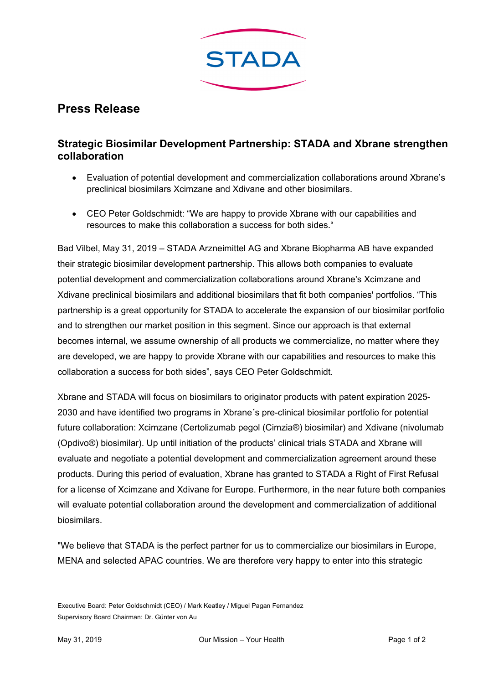

## **Press Release**

## **Strategic Biosimilar Development Partnership: STADA and Xbrane strengthen collaboration**

- Evaluation of potential development and commercialization collaborations around Xbrane's preclinical biosimilars Xcimzane and Xdivane and other biosimilars.
- CEO Peter Goldschmidt: "We are happy to provide Xbrane with our capabilities and resources to make this collaboration a success for both sides."

Bad Vilbel, May 31, 2019 – STADA Arzneimittel AG and Xbrane Biopharma AB have expanded their strategic biosimilar development partnership. This allows both companies to evaluate potential development and commercialization collaborations around Xbrane's Xcimzane and Xdivane preclinical biosimilars and additional biosimilars that fit both companies' portfolios. "This partnership is a great opportunity for STADA to accelerate the expansion of our biosimilar portfolio and to strengthen our market position in this segment. Since our approach is that external becomes internal, we assume ownership of all products we commercialize, no matter where they are developed, we are happy to provide Xbrane with our capabilities and resources to make this collaboration a success for both sides", says CEO Peter Goldschmidt.

Xbrane and STADA will focus on biosimilars to originator products with patent expiration 2025- 2030 and have identified two programs in Xbrane´s pre-clinical biosimilar portfolio for potential future collaboration: Xcimzane (Certolizumab pegol (Cimzia®) biosimilar) and Xdivane (nivolumab (Opdivo®) biosimilar). Up until initiation of the products' clinical trials STADA and Xbrane will evaluate and negotiate a potential development and commercialization agreement around these products. During this period of evaluation, Xbrane has granted to STADA a Right of First Refusal for a license of Xcimzane and Xdivane for Europe. Furthermore, in the near future both companies will evaluate potential collaboration around the development and commercialization of additional biosimilars.

"We believe that STADA is the perfect partner for us to commercialize our biosimilars in Europe, MENA and selected APAC countries. We are therefore very happy to enter into this strategic

Executive Board: Peter Goldschmidt (CEO) / Mark Keatley / Miguel Pagan Fernandez Supervisory Board Chairman: Dr. Günter von Au